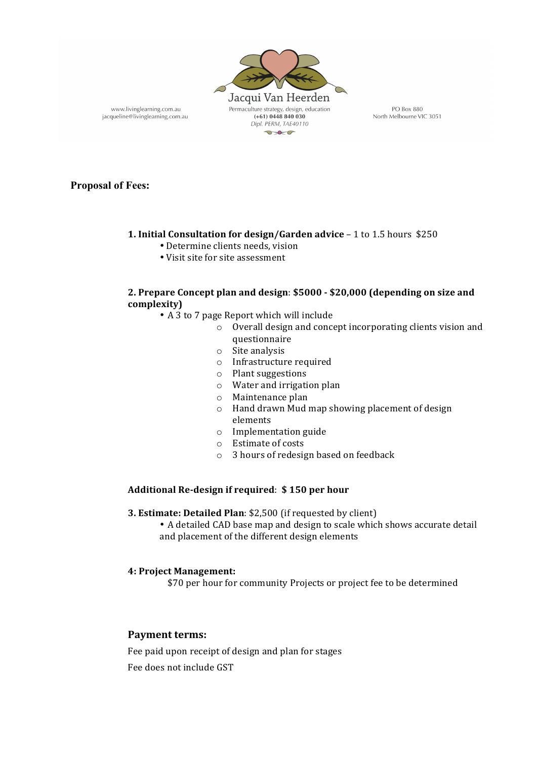

www.livinglearning.com.au jacqueline@livinglearning.com.au

PO Box 880 North Melbourne VIC 3051

**Proposal of Fees:** 

# **1. Initial Consultation for design/Garden advice - 1 to 1.5 hours \$250**

- Determine clients needs, vision
- Visit site for site assessment

# 2. Prepare Concept plan and design: \$5000 - \$20,000 (depending on size and **complexity)**

- A 3 to 7 page Report which will include
	- $\circ$  Overall design and concept incorporating clients vision and questionnaire
		- $\circ$  Site analysis
		- $\circ$  Infrastructure required
		- $\circ$  Plant suggestions
		- $\circ$  Water and irrigation plan
		- $\circ$  Maintenance plan
		- $\circ$  Hand drawn Mud map showing placement of design elements
		- $\circ$  Implementation guide
		- o Estimate of costs
		- $\circ$  3 hours of redesign based on feedback

# **Additional Re-design if required**: **\$ 150 per hour**

- **3. Estimate: Detailed Plan:** \$2,500 (if requested by client)
	- A detailed CAD base map and design to scale which shows accurate detail and placement of the different design elements

#### **4: Project Management:**

\$70 per hour for community Projects or project fee to be determined

# **Payment terms:**

Fee paid upon receipt of design and plan for stages Fee does not include GST